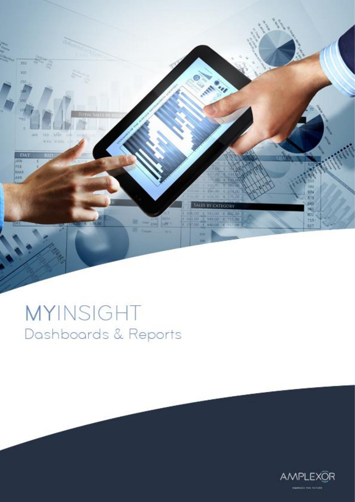

## MYINSIGHT Dashboards & Reports